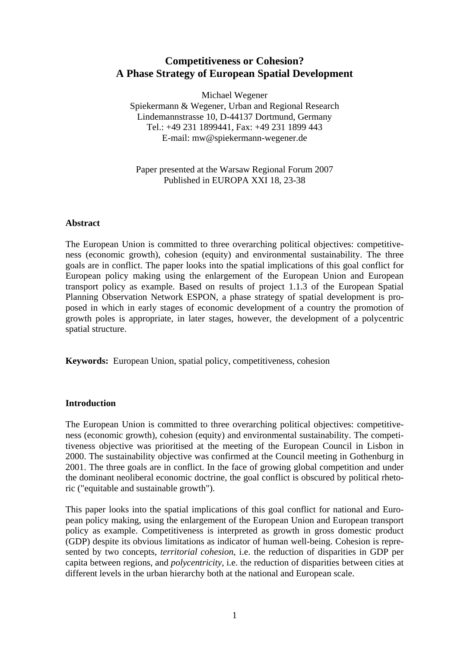# **Competitiveness or Cohesion? A Phase Strategy of European Spatial Development**

Michael Wegener

Spiekermann & Wegener, Urban and Regional Research Lindemannstrasse 10, D-44137 Dortmund, Germany Tel.: +49 231 1899441, Fax: +49 231 1899 443 E-mail: mw@spiekermann-wegener.de

## Paper presented at the Warsaw Regional Forum 2007 Published in EUROPA XXI 18, 23-38

#### **Abstract**

The European Union is committed to three overarching political objectives: competitiveness (economic growth), cohesion (equity) and environmental sustainability. The three goals are in conflict. The paper looks into the spatial implications of this goal conflict for European policy making using the enlargement of the European Union and European transport policy as example. Based on results of project 1.1.3 of the European Spatial Planning Observation Network ESPON, a phase strategy of spatial development is proposed in which in early stages of economic development of a country the promotion of growth poles is appropriate, in later stages, however, the development of a polycentric spatial structure.

**Keywords:** European Union, spatial policy, competitiveness, cohesion

#### **Introduction**

The European Union is committed to three overarching political objectives: competitiveness (economic growth), cohesion (equity) and environmental sustainability. The competitiveness objective was prioritised at the meeting of the European Council in Lisbon in 2000. The sustainability objective was confirmed at the Council meeting in Gothenburg in 2001. The three goals are in conflict. In the face of growing global competition and under the dominant neoliberal economic doctrine, the goal conflict is obscured by political rhetoric ("equitable and sustainable growth").

This paper looks into the spatial implications of this goal conflict for national and European policy making, using the enlargement of the European Union and European transport policy as example. Competitiveness is interpreted as growth in gross domestic product (GDP) despite its obvious limitations as indicator of human well-being. Cohesion is represented by two concepts, *territorial cohesion*, i.e. the reduction of disparities in GDP per capita between regions, and *polycentricity*, i.e. the reduction of disparities between cities at different levels in the urban hierarchy both at the national and European scale.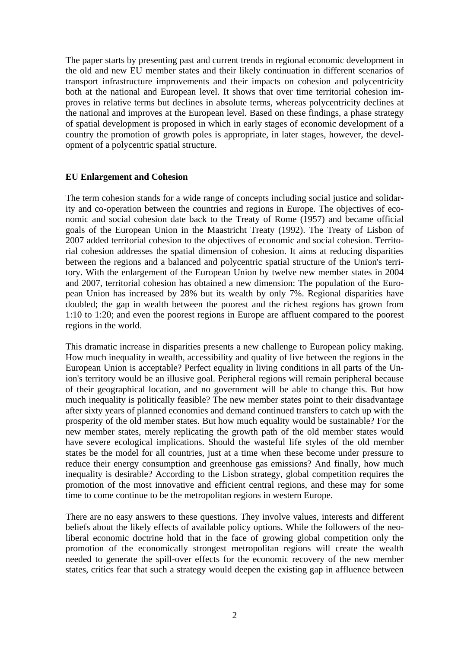The paper starts by presenting past and current trends in regional economic development in the old and new EU member states and their likely continuation in different scenarios of transport infrastructure improvements and their impacts on cohesion and polycentricity both at the national and European level. It shows that over time territorial cohesion improves in relative terms but declines in absolute terms, whereas polycentricity declines at the national and improves at the European level. Based on these findings, a phase strategy of spatial development is proposed in which in early stages of economic development of a country the promotion of growth poles is appropriate, in later stages, however, the development of a polycentric spatial structure.

#### **EU Enlargement and Cohesion**

The term cohesion stands for a wide range of concepts including social justice and solidarity and co-operation between the countries and regions in Europe. The objectives of economic and social cohesion date back to the Treaty of Rome (1957) and became official goals of the European Union in the Maastricht Treaty (1992). The Treaty of Lisbon of 2007 added territorial cohesion to the objectives of economic and social cohesion. Territorial cohesion addresses the spatial dimension of cohesion. It aims at reducing disparities between the regions and a balanced and polycentric spatial structure of the Union's territory. With the enlargement of the European Union by twelve new member states in 2004 and 2007, territorial cohesion has obtained a new dimension: The population of the European Union has increased by 28% but its wealth by only 7%. Regional disparities have doubled; the gap in wealth between the poorest and the richest regions has grown from 1:10 to 1:20; and even the poorest regions in Europe are affluent compared to the poorest regions in the world.

This dramatic increase in disparities presents a new challenge to European policy making. How much inequality in wealth, accessibility and quality of live between the regions in the European Union is acceptable? Perfect equality in living conditions in all parts of the Union's territory would be an illusive goal. Peripheral regions will remain peripheral because of their geographical location, and no government will be able to change this. But how much inequality is politically feasible? The new member states point to their disadvantage after sixty years of planned economies and demand continued transfers to catch up with the prosperity of the old member states. But how much equality would be sustainable? For the new member states, merely replicating the growth path of the old member states would have severe ecological implications. Should the wasteful life styles of the old member states be the model for all countries, just at a time when these become under pressure to reduce their energy consumption and greenhouse gas emissions? And finally, how much inequality is desirable? According to the Lisbon strategy, global competition requires the promotion of the most innovative and efficient central regions, and these may for some time to come continue to be the metropolitan regions in western Europe.

There are no easy answers to these questions. They involve values, interests and different beliefs about the likely effects of available policy options. While the followers of the neoliberal economic doctrine hold that in the face of growing global competition only the promotion of the economically strongest metropolitan regions will create the wealth needed to generate the spill-over effects for the economic recovery of the new member states, critics fear that such a strategy would deepen the existing gap in affluence between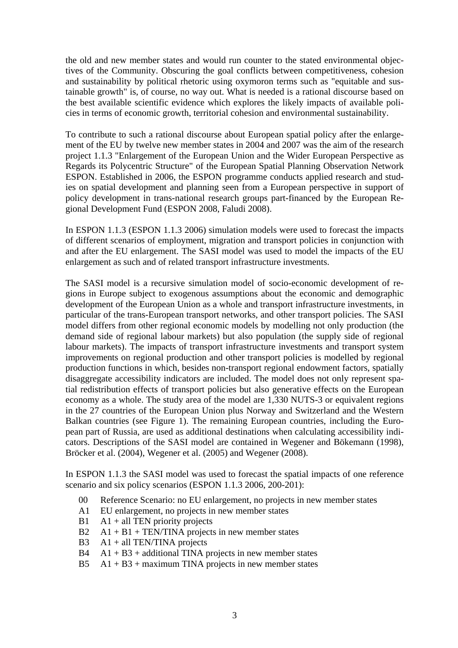the old and new member states and would run counter to the stated environmental objectives of the Community. Obscuring the goal conflicts between competitiveness, cohesion and sustainability by political rhetoric using oxymoron terms such as "equitable and sustainable growth" is, of course, no way out. What is needed is a rational discourse based on the best available scientific evidence which explores the likely impacts of available policies in terms of economic growth, territorial cohesion and environmental sustainability.

To contribute to such a rational discourse about European spatial policy after the enlargement of the EU by twelve new member states in 2004 and 2007 was the aim of the research project 1.1.3 "Enlargement of the European Union and the Wider European Perspective as Regards its Polycentric Structure" of the European Spatial Planning Observation Network ESPON. Established in 2006, the ESPON programme conducts applied research and studies on spatial development and planning seen from a European perspective in support of policy development in trans-national research groups part-financed by the European Regional Development Fund (ESPON 2008, Faludi 2008).

In ESPON 1.1.3 (ESPON 1.1.3 2006) simulation models were used to forecast the impacts of different scenarios of employment, migration and transport policies in conjunction with and after the EU enlargement. The SASI model was used to model the impacts of the EU enlargement as such and of related transport infrastructure investments.

The SASI model is a recursive simulation model of socio-economic development of regions in Europe subject to exogenous assumptions about the economic and demographic development of the European Union as a whole and transport infrastructure investments, in particular of the trans-European transport networks, and other transport policies. The SASI model differs from other regional economic models by modelling not only production (the demand side of regional labour markets) but also population (the supply side of regional labour markets). The impacts of transport infrastructure investments and transport system improvements on regional production and other transport policies is modelled by regional production functions in which, besides non-transport regional endowment factors, spatially disaggregate accessibility indicators are included. The model does not only represent spatial redistribution effects of transport policies but also generative effects on the European economy as a whole. The study area of the model are 1,330 NUTS-3 or equivalent regions in the 27 countries of the European Union plus Norway and Switzerland and the Western Balkan countries (see Figure 1). The remaining European countries, including the European part of Russia, are used as additional destinations when calculating accessibility indicators. Descriptions of the SASI model are contained in Wegener and Bökemann (1998), Bröcker et al. (2004), Wegener et al. (2005) and Wegener (2008).

In ESPON 1.1.3 the SASI model was used to forecast the spatial impacts of one reference scenario and six policy scenarios (ESPON 1.1.3 2006, 200-201):

- 00 Reference Scenario: no EU enlargement, no projects in new member states
- A1 EU enlargement, no projects in new member states
- $B1$  A1 + all TEN priority projects
- $B2 \text{ A}1 + B1 + \text{TEN/TINA}$  projects in new member states
- B3  $A1 + all TEN/TIMA projects$
- $B4$  A1 + B3 + additional TINA projects in new member states
- B5  $A1 + B3 +$  maximum TINA projects in new member states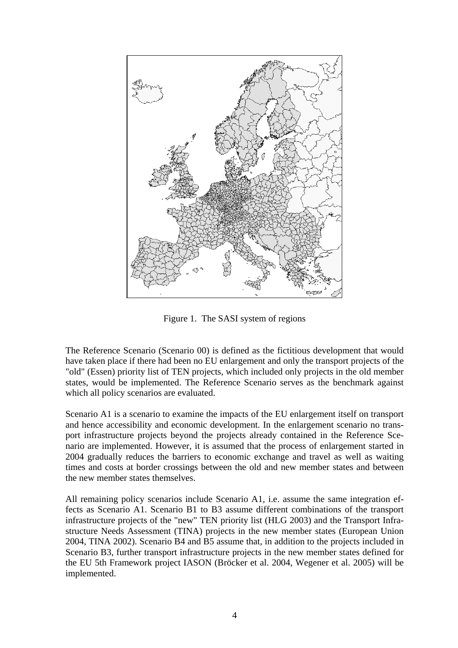

Figure 1. The SASI system of regions

The Reference Scenario (Scenario 00) is defined as the fictitious development that would have taken place if there had been no EU enlargement and only the transport projects of the "old" (Essen) priority list of TEN projects, which included only projects in the old member states, would be implemented. The Reference Scenario serves as the benchmark against which all policy scenarios are evaluated.

Scenario A1 is a scenario to examine the impacts of the EU enlargement itself on transport and hence accessibility and economic development. In the enlargement scenario no transport infrastructure projects beyond the projects already contained in the Reference Scenario are implemented. However, it is assumed that the process of enlargement started in 2004 gradually reduces the barriers to economic exchange and travel as well as waiting times and costs at border crossings between the old and new member states and between the new member states themselves.

All remaining policy scenarios include Scenario A1, i.e. assume the same integration effects as Scenario A1. Scenario B1 to B3 assume different combinations of the transport infrastructure projects of the "new" TEN priority list (HLG 2003) and the Transport Infrastructure Needs Assessment (TINA) projects in the new member states (European Union 2004, TINA 2002). Scenario B4 and B5 assume that, in addition to the projects included in Scenario B3, further transport infrastructure projects in the new member states defined for the EU 5th Framework project IASON (Bröcker et al. 2004, Wegener et al. 2005) will be implemented.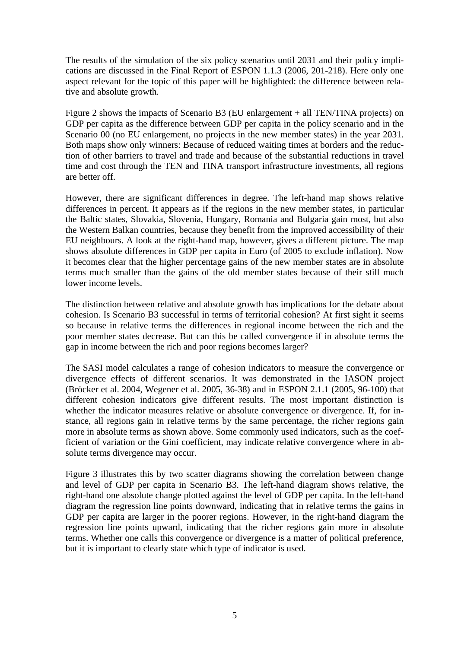The results of the simulation of the six policy scenarios until 2031 and their policy implications are discussed in the Final Report of ESPON 1.1.3 (2006, 201-218). Here only one aspect relevant for the topic of this paper will be highlighted: the difference between relative and absolute growth.

Figure 2 shows the impacts of Scenario B3 (EU enlargement + all TEN/TINA projects) on GDP per capita as the difference between GDP per capita in the policy scenario and in the Scenario 00 (no EU enlargement, no projects in the new member states) in the year 2031. Both maps show only winners: Because of reduced waiting times at borders and the reduction of other barriers to travel and trade and because of the substantial reductions in travel time and cost through the TEN and TINA transport infrastructure investments, all regions are better off.

However, there are significant differences in degree. The left-hand map shows relative differences in percent. It appears as if the regions in the new member states, in particular the Baltic states, Slovakia, Slovenia, Hungary, Romania and Bulgaria gain most, but also the Western Balkan countries, because they benefit from the improved accessibility of their EU neighbours. A look at the right-hand map, however, gives a different picture. The map shows absolute differences in GDP per capita in Euro (of 2005 to exclude inflation). Now it becomes clear that the higher percentage gains of the new member states are in absolute terms much smaller than the gains of the old member states because of their still much lower income levels.

The distinction between relative and absolute growth has implications for the debate about cohesion. Is Scenario B3 successful in terms of territorial cohesion? At first sight it seems so because in relative terms the differences in regional income between the rich and the poor member states decrease. But can this be called convergence if in absolute terms the gap in income between the rich and poor regions becomes larger?

The SASI model calculates a range of cohesion indicators to measure the convergence or divergence effects of different scenarios. It was demonstrated in the IASON project (Bröcker et al. 2004, Wegener et al. 2005, 36-38) and in ESPON 2.1.1 (2005, 96-100) that different cohesion indicators give different results. The most important distinction is whether the indicator measures relative or absolute convergence or divergence. If, for instance, all regions gain in relative terms by the same percentage, the richer regions gain more in absolute terms as shown above. Some commonly used indicators, such as the coefficient of variation or the Gini coefficient, may indicate relative convergence where in absolute terms divergence may occur.

Figure 3 illustrates this by two scatter diagrams showing the correlation between change and level of GDP per capita in Scenario B3. The left-hand diagram shows relative, the right-hand one absolute change plotted against the level of GDP per capita. In the left-hand diagram the regression line points downward, indicating that in relative terms the gains in GDP per capita are larger in the poorer regions. However, in the right-hand diagram the regression line points upward, indicating that the richer regions gain more in absolute terms. Whether one calls this convergence or divergence is a matter of political preference, but it is important to clearly state which type of indicator is used.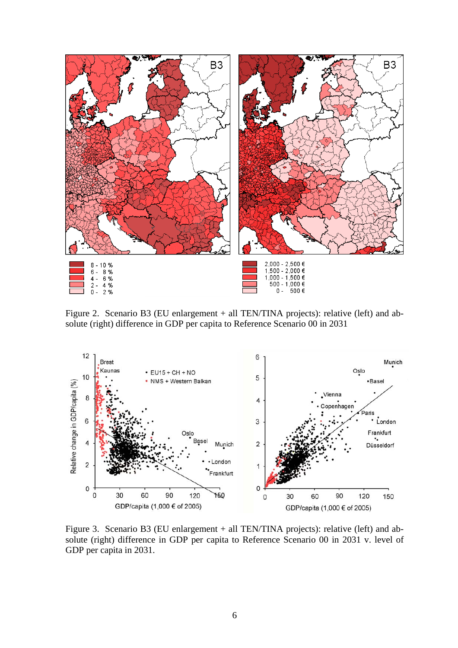

Figure 2. Scenario B3 (EU enlargement + all TEN/TINA projects): relative (left) and absolute (right) difference in GDP per capita to Reference Scenario 00 in 2031



Figure 3. Scenario B3 (EU enlargement + all TEN/TINA projects): relative (left) and absolute (right) difference in GDP per capita to Reference Scenario 00 in 2031 v. level of GDP per capita in 2031.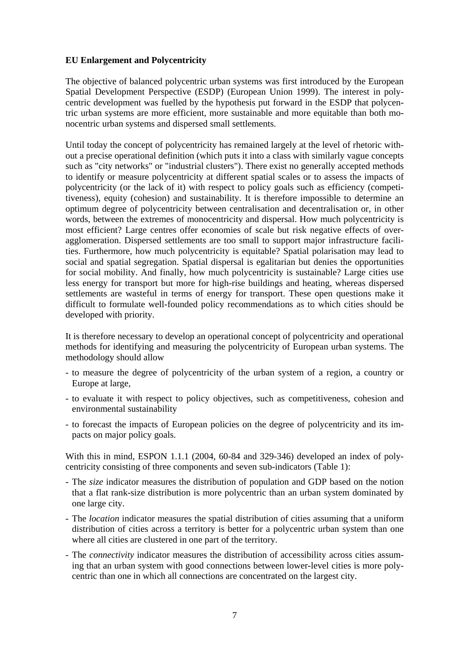## **EU Enlargement and Polycentricity**

The objective of balanced polycentric urban systems was first introduced by the European Spatial Development Perspective (ESDP) (European Union 1999). The interest in polycentric development was fuelled by the hypothesis put forward in the ESDP that polycentric urban systems are more efficient, more sustainable and more equitable than both monocentric urban systems and dispersed small settlements.

Until today the concept of polycentricity has remained largely at the level of rhetoric without a precise operational definition (which puts it into a class with similarly vague concepts such as "city networks" or "industrial clusters"). There exist no generally accepted methods to identify or measure polycentricity at different spatial scales or to assess the impacts of polycentricity (or the lack of it) with respect to policy goals such as efficiency (competitiveness), equity (cohesion) and sustainability. It is therefore impossible to determine an optimum degree of polycentricity between centralisation and decentralisation or, in other words, between the extremes of monocentricity and dispersal. How much polycentricity is most efficient? Large centres offer economies of scale but risk negative effects of overagglomeration. Dispersed settlements are too small to support major infrastructure facilities. Furthermore, how much polycentricity is equitable? Spatial polarisation may lead to social and spatial segregation. Spatial dispersal is egalitarian but denies the opportunities for social mobility. And finally, how much polycentricity is sustainable? Large cities use less energy for transport but more for high-rise buildings and heating, whereas dispersed settlements are wasteful in terms of energy for transport. These open questions make it difficult to formulate well-founded policy recommendations as to which cities should be developed with priority.

It is therefore necessary to develop an operational concept of polycentricity and operational methods for identifying and measuring the polycentricity of European urban systems. The methodology should allow

- to measure the degree of polycentricity of the urban system of a region, a country or Europe at large,
- to evaluate it with respect to policy objectives, such as competitiveness, cohesion and environmental sustainability
- to forecast the impacts of European policies on the degree of polycentricity and its impacts on major policy goals.

With this in mind, ESPON 1.1.1 (2004, 60-84 and 329-346) developed an index of polycentricity consisting of three components and seven sub-indicators (Table 1):

- The *size* indicator measures the distribution of population and GDP based on the notion that a flat rank-size distribution is more polycentric than an urban system dominated by one large city.
- The *location* indicator measures the spatial distribution of cities assuming that a uniform distribution of cities across a territory is better for a polycentric urban system than one where all cities are clustered in one part of the territory.
- The *connectivity* indicator measures the distribution of accessibility across cities assuming that an urban system with good connections between lower-level cities is more polycentric than one in which all connections are concentrated on the largest city.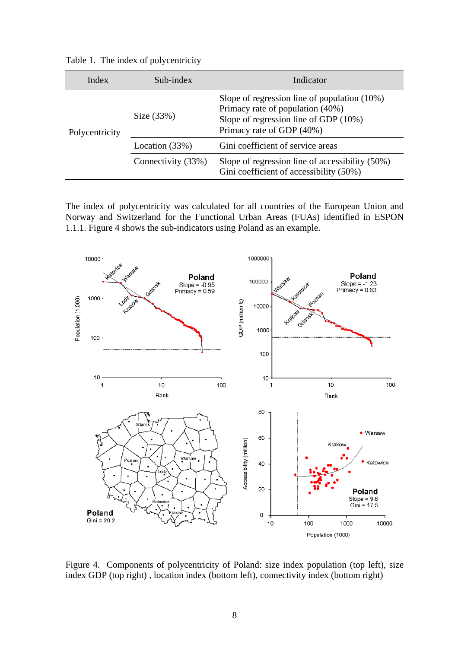| Table 1. The index of polycentricity |  |
|--------------------------------------|--|
|--------------------------------------|--|

| Index          | Sub-index          | Indicator                                                                                                                                                    |  |
|----------------|--------------------|--------------------------------------------------------------------------------------------------------------------------------------------------------------|--|
| Polycentricity | Size $(33%)$       | Slope of regression line of population $(10\%)$<br>Primacy rate of population (40%)<br>Slope of regression line of GDP $(10\%)$<br>Primacy rate of GDP (40%) |  |
|                | Location $(33%)$   | Gini coefficient of service areas                                                                                                                            |  |
|                | Connectivity (33%) | Slope of regression line of accessibility $(50\%)$<br>Gini coefficient of accessibility (50%)                                                                |  |

The index of polycentricity was calculated for all countries of the European Union and Norway and Switzerland for the Functional Urban Areas (FUAs) identified in ESPON 1.1.1. Figure 4 shows the sub-indicators using Poland as an example.



Figure 4. Components of polycentricity of Poland: size index population (top left), size index GDP (top right) , location index (bottom left), connectivity index (bottom right)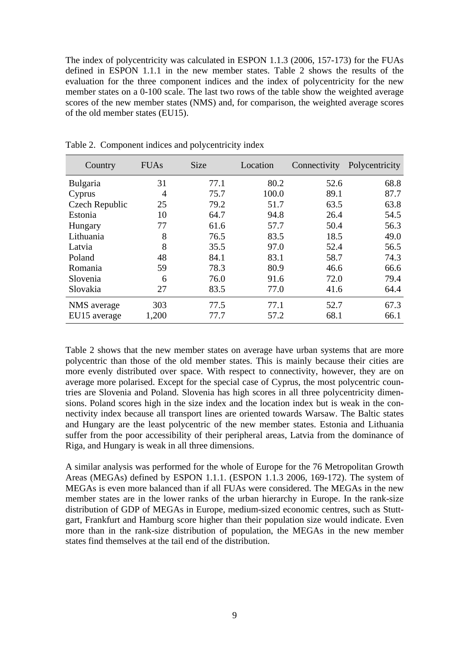The index of polycentricity was calculated in ESPON 1.1.3 (2006, 157-173) for the FUAs defined in ESPON 1.1.1 in the new member states. Table 2 shows the results of the evaluation for the three component indices and the index of polycentricity for the new member states on a 0-100 scale. The last two rows of the table show the weighted average scores of the new member states (NMS) and, for comparison, the weighted average scores of the old member states (EU15).

| Country         | <b>FUAs</b> | <b>Size</b> | Location | Connectivity | Polycentricity |
|-----------------|-------------|-------------|----------|--------------|----------------|
| <b>Bulgaria</b> | 31          | 77.1        | 80.2     | 52.6         | 68.8           |
| Cyprus          | 4           | 75.7        | 100.0    | 89.1         | 87.7           |
| Czech Republic  | 25          | 79.2        | 51.7     | 63.5         | 63.8           |
| Estonia         | 10          | 64.7        | 94.8     | 26.4         | 54.5           |
| Hungary         | 77          | 61.6        | 57.7     | 50.4         | 56.3           |
| Lithuania       | 8           | 76.5        | 83.5     | 18.5         | 49.0           |
| Latvia          | 8           | 35.5        | 97.0     | 52.4         | 56.5           |
| Poland          | 48          | 84.1        | 83.1     | 58.7         | 74.3           |
| Romania         | 59          | 78.3        | 80.9     | 46.6         | 66.6           |
| Slovenia        | 6           | 76.0        | 91.6     | 72.0         | 79.4           |
| Slovakia        | 27          | 83.5        | 77.0     | 41.6         | 64.4           |
| NMS average     | 303         | 77.5        | 77.1     | 52.7         | 67.3           |
| EU15 average    | 1,200       | 77.7        | 57.2     | 68.1         | 66.1           |

Table 2. Component indices and polycentricity index

Table 2 shows that the new member states on average have urban systems that are more polycentric than those of the old member states. This is mainly because their cities are more evenly distributed over space. With respect to connectivity, however, they are on average more polarised. Except for the special case of Cyprus, the most polycentric countries are Slovenia and Poland. Slovenia has high scores in all three polycentricity dimensions. Poland scores high in the size index and the location index but is weak in the connectivity index because all transport lines are oriented towards Warsaw. The Baltic states and Hungary are the least polycentric of the new member states. Estonia and Lithuania suffer from the poor accessibility of their peripheral areas, Latvia from the dominance of Riga, and Hungary is weak in all three dimensions.

A similar analysis was performed for the whole of Europe for the 76 Metropolitan Growth Areas (MEGAs) defined by ESPON 1.1.1. (ESPON 1.1.3 2006, 169-172). The system of MEGAs is even more balanced than if all FUAs were considered. The MEGAs in the new member states are in the lower ranks of the urban hierarchy in Europe. In the rank-size distribution of GDP of MEGAs in Europe, medium-sized economic centres, such as Stuttgart, Frankfurt and Hamburg score higher than their population size would indicate. Even more than in the rank-size distribution of population, the MEGAs in the new member states find themselves at the tail end of the distribution.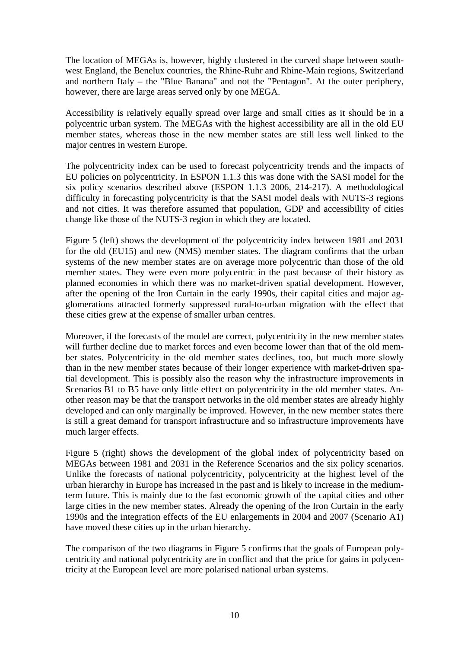The location of MEGAs is, however, highly clustered in the curved shape between southwest England, the Benelux countries, the Rhine-Ruhr and Rhine-Main regions, Switzerland and northern Italy – the "Blue Banana" and not the "Pentagon". At the outer periphery, however, there are large areas served only by one MEGA.

Accessibility is relatively equally spread over large and small cities as it should be in a polycentric urban system. The MEGAs with the highest accessibility are all in the old EU member states, whereas those in the new member states are still less well linked to the major centres in western Europe.

The polycentricity index can be used to forecast polycentricity trends and the impacts of EU policies on polycentricity. In ESPON 1.1.3 this was done with the SASI model for the six policy scenarios described above (ESPON 1.1.3 2006, 214-217). A methodological difficulty in forecasting polycentricity is that the SASI model deals with NUTS-3 regions and not cities. It was therefore assumed that population, GDP and accessibility of cities change like those of the NUTS-3 region in which they are located.

Figure 5 (left) shows the development of the polycentricity index between 1981 and 2031 for the old (EU15) and new (NMS) member states. The diagram confirms that the urban systems of the new member states are on average more polycentric than those of the old member states. They were even more polycentric in the past because of their history as planned economies in which there was no market-driven spatial development. However, after the opening of the Iron Curtain in the early 1990s, their capital cities and major agglomerations attracted formerly suppressed rural-to-urban migration with the effect that these cities grew at the expense of smaller urban centres.

Moreover, if the forecasts of the model are correct, polycentricity in the new member states will further decline due to market forces and even become lower than that of the old member states. Polycentricity in the old member states declines, too, but much more slowly than in the new member states because of their longer experience with market-driven spatial development. This is possibly also the reason why the infrastructure improvements in Scenarios B1 to B5 have only little effect on polycentricity in the old member states. Another reason may be that the transport networks in the old member states are already highly developed and can only marginally be improved. However, in the new member states there is still a great demand for transport infrastructure and so infrastructure improvements have much larger effects.

Figure 5 (right) shows the development of the global index of polycentricity based on MEGAs between 1981 and 2031 in the Reference Scenarios and the six policy scenarios. Unlike the forecasts of national polycentricity, polycentricity at the highest level of the urban hierarchy in Europe has increased in the past and is likely to increase in the mediumterm future. This is mainly due to the fast economic growth of the capital cities and other large cities in the new member states. Already the opening of the Iron Curtain in the early 1990s and the integration effects of the EU enlargements in 2004 and 2007 (Scenario A1) have moved these cities up in the urban hierarchy.

The comparison of the two diagrams in Figure 5 confirms that the goals of European polycentricity and national polycentricity are in conflict and that the price for gains in polycentricity at the European level are more polarised national urban systems.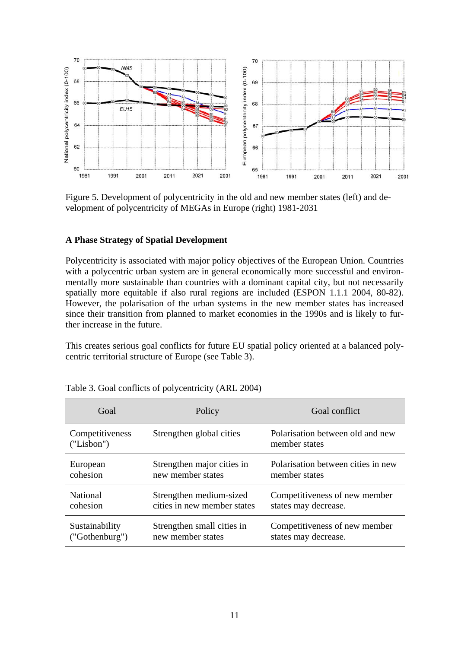

Figure 5. Development of polycentricity in the old and new member states (left) and development of polycentricity of MEGAs in Europe (right) 1981-2031

#### **A Phase Strategy of Spatial Development**

Polycentricity is associated with major policy objectives of the European Union. Countries with a polycentric urban system are in general economically more successful and environmentally more sustainable than countries with a dominant capital city, but not necessarily spatially more equitable if also rural regions are included (ESPON 1.1.1 2004, 80-82). However, the polarisation of the urban systems in the new member states has increased since their transition from planned to market economies in the 1990s and is likely to further increase in the future.

This creates serious goal conflicts for future EU spatial policy oriented at a balanced polycentric territorial structure of Europe (see Table 3).

| Goal                          | Policy                      | Goal conflict                                     |
|-------------------------------|-----------------------------|---------------------------------------------------|
| Competitiveness<br>("Lisbon") | Strengthen global cities    | Polarisation between old and new<br>member states |
| European                      | Strengthen major cities in  | Polarisation between cities in new                |
| cohesion                      | new member states           | member states                                     |
| National                      | Strengthen medium-sized     | Competitiveness of new member                     |
| cohesion                      | cities in new member states | states may decrease.                              |
| Sustainability                | Strengthen small cities in  | Competitiveness of new member                     |
| ("Gothenburg")                | new member states           | states may decrease.                              |

Table 3. Goal conflicts of polycentricity (ARL 2004)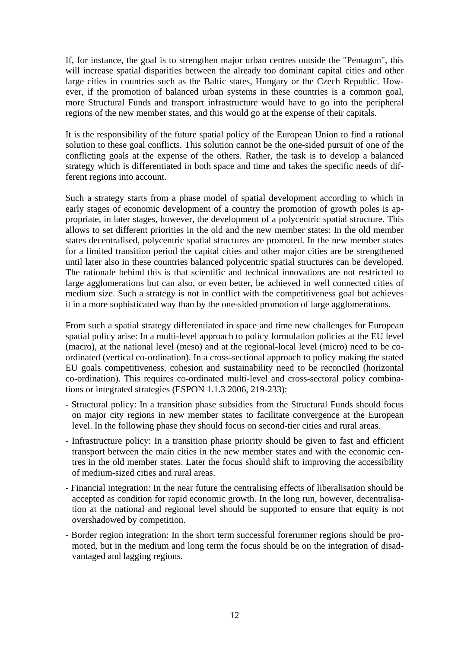If, for instance, the goal is to strengthen major urban centres outside the "Pentagon", this will increase spatial disparities between the already too dominant capital cities and other large cities in countries such as the Baltic states, Hungary or the Czech Republic. However, if the promotion of balanced urban systems in these countries is a common goal, more Structural Funds and transport infrastructure would have to go into the peripheral regions of the new member states, and this would go at the expense of their capitals.

It is the responsibility of the future spatial policy of the European Union to find a rational solution to these goal conflicts. This solution cannot be the one-sided pursuit of one of the conflicting goals at the expense of the others. Rather, the task is to develop a balanced strategy which is differentiated in both space and time and takes the specific needs of different regions into account.

Such a strategy starts from a phase model of spatial development according to which in early stages of economic development of a country the promotion of growth poles is appropriate, in later stages, however, the development of a polycentric spatial structure. This allows to set different priorities in the old and the new member states: In the old member states decentralised, polycentric spatial structures are promoted. In the new member states for a limited transition period the capital cities and other major cities are be strengthened until later also in these countries balanced polycentric spatial structures can be developed. The rationale behind this is that scientific and technical innovations are not restricted to large agglomerations but can also, or even better, be achieved in well connected cities of medium size. Such a strategy is not in conflict with the competitiveness goal but achieves it in a more sophisticated way than by the one-sided promotion of large agglomerations.

From such a spatial strategy differentiated in space and time new challenges for European spatial policy arise: In a multi-level approach to policy formulation policies at the EU level (macro), at the national level (meso) and at the regional-local level (micro) need to be coordinated (vertical co-ordination). In a cross-sectional approach to policy making the stated EU goals competitiveness, cohesion and sustainability need to be reconciled (horizontal co-ordination). This requires co-ordinated multi-level and cross-sectoral policy combinations or integrated strategies (ESPON 1.1.3 2006, 219-233):

- Structural policy: In a transition phase subsidies from the Structural Funds should focus on major city regions in new member states to facilitate convergence at the European level. In the following phase they should focus on second-tier cities and rural areas.
- Infrastructure policy: In a transition phase priority should be given to fast and efficient transport between the main cities in the new member states and with the economic centres in the old member states. Later the focus should shift to improving the accessibility of medium-sized cities and rural areas.
- Financial integration: In the near future the centralising effects of liberalisation should be accepted as condition for rapid economic growth. In the long run, however, decentralisation at the national and regional level should be supported to ensure that equity is not overshadowed by competition.
- Border region integration: In the short term successful forerunner regions should be promoted, but in the medium and long term the focus should be on the integration of disadvantaged and lagging regions.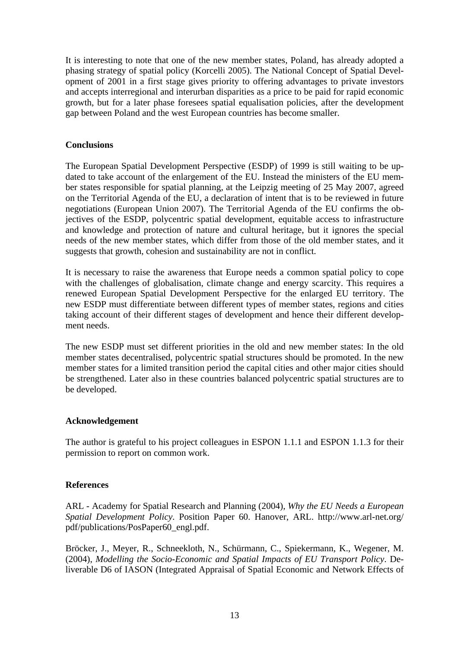It is interesting to note that one of the new member states, Poland, has already adopted a phasing strategy of spatial policy (Korcelli 2005). The National Concept of Spatial Development of 2001 in a first stage gives priority to offering advantages to private investors and accepts interregional and interurban disparities as a price to be paid for rapid economic growth, but for a later phase foresees spatial equalisation policies, after the development gap between Poland and the west European countries has become smaller.

### **Conclusions**

The European Spatial Development Perspective (ESDP) of 1999 is still waiting to be updated to take account of the enlargement of the EU. Instead the ministers of the EU member states responsible for spatial planning, at the Leipzig meeting of 25 May 2007, agreed on the Territorial Agenda of the EU, a declaration of intent that is to be reviewed in future negotiations (European Union 2007). The Territorial Agenda of the EU confirms the objectives of the ESDP, polycentric spatial development, equitable access to infrastructure and knowledge and protection of nature and cultural heritage, but it ignores the special needs of the new member states, which differ from those of the old member states, and it suggests that growth, cohesion and sustainability are not in conflict.

It is necessary to raise the awareness that Europe needs a common spatial policy to cope with the challenges of globalisation, climate change and energy scarcity. This requires a renewed European Spatial Development Perspective for the enlarged EU territory. The new ESDP must differentiate between different types of member states, regions and cities taking account of their different stages of development and hence their different development needs.

The new ESDP must set different priorities in the old and new member states: In the old member states decentralised, polycentric spatial structures should be promoted. In the new member states for a limited transition period the capital cities and other major cities should be strengthened. Later also in these countries balanced polycentric spatial structures are to be developed.

# **Acknowledgement**

The author is grateful to his project colleagues in ESPON 1.1.1 and ESPON 1.1.3 for their permission to report on common work.

# **References**

ARL - Academy for Spatial Research and Planning (2004), *Why the EU Needs a European Spatial Development Policy*. Position Paper 60. Hanover, ARL. http://www.arl-net.org/ pdf/publications/PosPaper60\_engl.pdf.

Bröcker, J., Meyer, R., Schneekloth, N., Schürmann, C., Spiekermann, K., Wegener, M. (2004), *Modelling the Socio-Economic and Spatial Impacts of EU Transport Policy*. Deliverable D6 of IASON (Integrated Appraisal of Spatial Economic and Network Effects of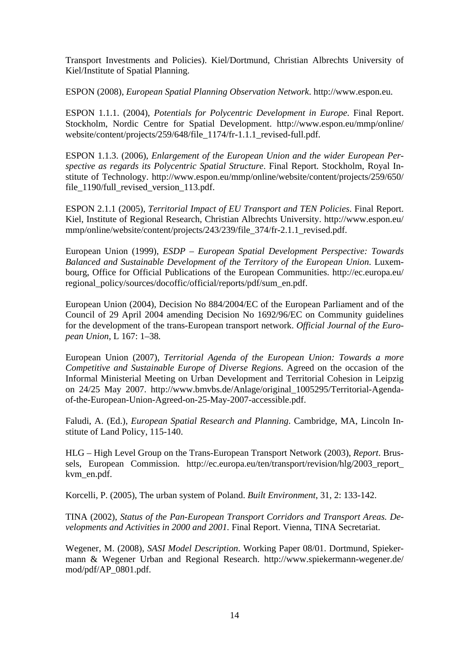Transport Investments and Policies). Kiel/Dortmund, Christian Albrechts University of Kiel/Institute of Spatial Planning.

ESPON (2008), *European Spatial Planning Observation Network*. http://www.espon.eu.

ESPON 1.1.1. (2004), *Potentials for Polycentric Development in Europe*. Final Report. Stockholm, Nordic Centre for Spatial Development. http://www.espon.eu/mmp/online/ website/content/projects/259/648/file\_1174/fr-1.1.1\_revised-full.pdf.

ESPON 1.1.3. (2006), *Enlargement of the European Union and the wider European Perspective as regards its Polycentric Spatial Structure*. Final Report. Stockholm, Royal Institute of Technology. http://www.espon.eu/mmp/online/website/content/projects/259/650/ file\_1190/full\_revised\_version\_113.pdf.

ESPON 2.1.1 (2005), *Territorial Impact of EU Transport and TEN Policies*. Final Report. Kiel, Institute of Regional Research, Christian Albrechts University. http://www.espon.eu/ mmp/online/website/content/projects/243/239/file\_374/fr-2.1.1\_revised.pdf.

European Union (1999), *ESDP – European Spatial Development Perspective: Towards Balanced and Sustainable Development of the Territory of the European Union*. Luxembourg, Office for Official Publications of the European Communities. http://ec.europa.eu/ regional\_policy/sources/docoffic/official/reports/pdf/sum\_en.pdf.

European Union (2004), Decision No 884/2004/EC of the European Parliament and of the Council of 29 April 2004 amending Decision No 1692/96/EC on Community guidelines for the development of the trans-European transport network. *Official Journal of the European Union*, L 167: 1–38*.*

European Union (2007), *Territorial Agenda of the European Union: Towards a more Competitive and Sustainable Europe of Diverse Regions*. Agreed on the occasion of the Informal Ministerial Meeting on Urban Development and Territorial Cohesion in Leipzig on 24/25 May 2007. http://www.bmvbs.de/Anlage/original\_1005295/Territorial-Agendaof-the-European-Union-Agreed-on-25-May-2007-accessible.pdf.

Faludi, A. (Ed.), *European Spatial Research and Planning*. Cambridge, MA, Lincoln Institute of Land Policy, 115-140.

HLG – High Level Group on the Trans-European Transport Network (2003), *Report*. Brussels, European Commission. http://ec.europa.eu/ten/transport/revision/hlg/2003\_report\_ kvm\_en.pdf.

Korcelli, P. (2005), The urban system of Poland. *Built Environment*, 31, 2: 133-142.

TINA (2002), *Status of the Pan-European Transport Corridors and Transport Areas. Developments and Activities in 2000 and 2001.* Final Report. Vienna, TINA Secretariat.

Wegener, M. (2008), *SASI Model Description*. Working Paper 08/01. Dortmund, Spiekermann & Wegener Urban and Regional Research. http://www.spiekermann-wegener.de/ mod/pdf/AP\_0801.pdf.